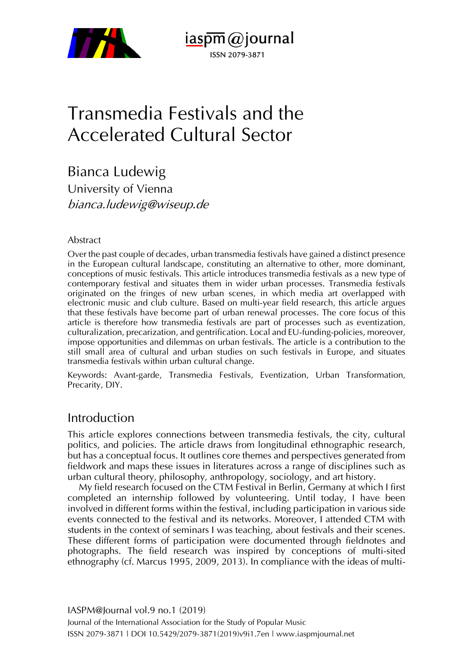

 $i$ aspm $\omega$ journal ISSN 2079-3871

# Transmedia Festivals and the Accelerated Cultural Sector

Bianca Ludewig University of Vienna [bianca.ludewig@wiseup.de](mailto:bianca.ludewig@wiseup.de)

#### Abstract

Over the past couple of decades, urban transmedia festivals have gained a distinct presence in the European cultural landscape, constituting an alternative to other, more dominant, conceptions of music festivals. This article introduces transmedia festivals as a new type of contemporary festival and situates them in wider urban processes. Transmedia festivals originated on the fringes of new urban scenes, in which media art overlapped with electronic music and club culture. Based on multi-year field research, this article argues that these festivals have become part of urban renewal processes. The core focus of this article is therefore how transmedia festivals are part of processes such as eventization, culturalization, precarization, and gentrification. Local and EU-funding-policies, moreover, impose opportunities and dilemmas on urban festivals. The article is a contribution to the still small area of cultural and urban studies on such festivals in Europe, and situates transmedia festivals within urban cultural change.

Keywords: Avant-garde, Transmedia Festivals, Eventization, Urban Transformation, Precarity, DIY.

## Introduction

This article explores connections between transmedia festivals, the city, cultural politics, and policies. The article draws from longitudinal ethnographic research, but has a conceptual focus. It outlines core themes and perspectives generated from fieldwork and maps these issues in literatures across a range of disciplines such as urban cultural theory, philosophy, anthropology, sociology, and art history.

My field research focused on the CTM Festival in Berlin, Germany at which I first completed an internship followed by volunteering. Until today, I have been involved in different forms within the festival, including participation in various side events connected to the festival and its networks. Moreover, I attended CTM with students in the context of seminars I was teaching, about festivals and their scenes. These different forms of participation were documented through fieldnotes and photographs. The field research was inspired by conceptions of multi-sited ethnography (cf. Marcus 1995, 2009, 2013). In compliance with the ideas of multi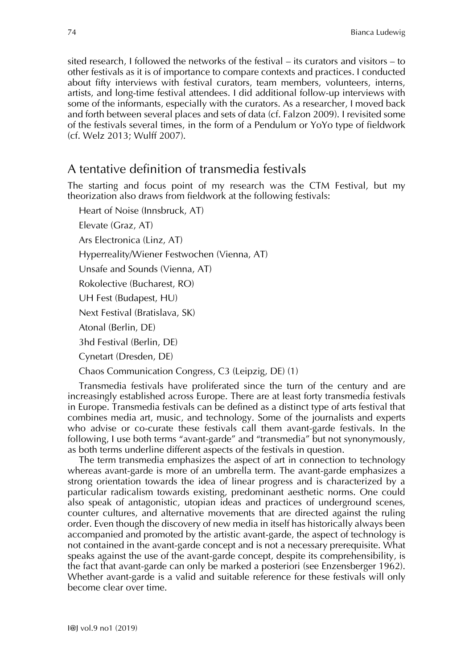sited research, I followed the networks of the festival – its curators and visitors – to other festivals as it is of importance to compare contexts and practices. I conducted about fifty interviews with festival curators, team members, volunteers, interns, artists, and long-time festival attendees. I did additional follow-up interviews with some of the informants, especially with the curators. As a researcher, I moved back and forth between several places and sets of data (cf. Falzon 2009). I revisited some of the festivals several times, in the form of a Pendulum or YoYo type of fieldwork (cf. Welz 2013; Wulff 2007).

## A tentative definition of transmedia festivals

The starting and focus point of my research was the CTM Festival, but my theorization also draws from fieldwork at the following festivals:

Heart of Noise (Innsbruck, AT) Elevate (Graz, AT) Ars Electronica (Linz, AT) Hyperreality/Wiener Festwochen (Vienna, AT) Unsafe and Sounds (Vienna, AT) Rokolective (Bucharest, RO) UH Fest (Budapest, HU) Next Festival (Bratislava, SK) Atonal (Berlin, DE) 3hd Festival (Berlin, DE) Cynetart (Dresden, DE)

Chaos Communication Congress, C3 (Leipzig, DE) (1)

Transmedia festivals have proliferated since the turn of the century and are increasingly established across Europe. There are at least forty transmedia festivals in Europe. Transmedia festivals can be defined as a distinct type of arts festival that combines media art, music, and technology. Some of the journalists and experts who advise or co-curate these festivals call them avant-garde festivals. In the following, I use both terms "avant-garde" and "transmedia" but not synonymously, as both terms underline different aspects of the festivals in question.

The term transmedia emphasizes the aspect of art in connection to technology whereas avant-garde is more of an umbrella term. The avant-garde emphasizes a strong orientation towards the idea of linear progress and is characterized by a particular radicalism towards existing, predominant aesthetic norms. One could also speak of antagonistic, utopian ideas and practices of underground scenes, counter cultures, and alternative movements that are directed against the ruling order. Even though the discovery of new media in itself has historically always been accompanied and promoted by the artistic avant-garde, the aspect of technology is not contained in the avant-garde concept and is not a necessary prerequisite. What speaks against the use of the avant-garde concept, despite its comprehensibility, is the fact that avant-garde can only be marked a posteriori (see Enzensberger 1962). Whether avant-garde is a valid and suitable reference for these festivals will only become clear over time.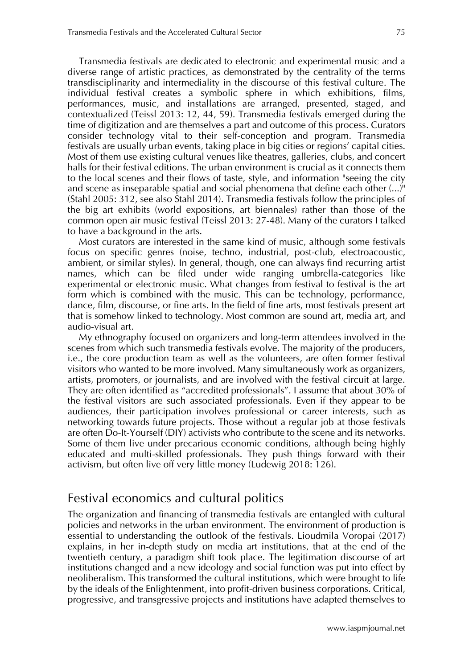Transmedia festivals are dedicated to electronic and experimental music and a diverse range of artistic practices, as demonstrated by the centrality of the terms transdisciplinarity and intermediality in the discourse of this festival culture. The individual festival creates a symbolic sphere in which exhibitions, films, performances, music, and installations are arranged, presented, staged, and contextualized (Teissl 2013: 12, 44, 59). Transmedia festivals emerged during the time of digitization and are themselves a part and outcome of this process. Curators consider technology vital to their self-conception and program. Transmedia festivals are usually urban events, taking place in big cities or regions' capital cities. Most of them use existing cultural venues like theatres, galleries, clubs, and concert halls for their festival editions. The urban environment is crucial as it connects them to the local scenes and their flows of taste, style, and information "seeing the city and scene as inseparable spatial and social phenomena that define each other (...)" (Stahl 2005: 312, see also Stahl 2014). Transmedia festivals follow the principles of the big art exhibits (world expositions, art biennales) rather than those of the common open air music festival (Teissl 2013: 27-48). Many of the curators I talked to have a background in the arts.

Most curators are interested in the same kind of music, although some festivals focus on specific genres (noise, techno, industrial, post-club, electroacoustic, ambient, or similar styles). In general, though, one can always find recurring artist names, which can be filed under wide ranging umbrella-categories like experimental or electronic music. What changes from festival to festival is the art form which is combined with the music. This can be technology, performance, dance, film, discourse, or fine arts. In the field of fine arts, most festivals present art that is somehow linked to technology. Most common are sound art, media art, and audio-visual art.

My ethnography focused on organizers and long-term attendees involved in the scenes from which such transmedia festivals evolve. The majority of the producers, i.e., the core production team as well as the volunteers, are often former festival visitors who wanted to be more involved. Many simultaneously work as organizers, artists, promoters, or journalists, and are involved with the festival circuit at large. They are often identified as "accredited professionals". I assume that about 30% of the festival visitors are such associated professionals. Even if they appear to be audiences, their participation involves professional or career interests, such as networking towards future projects. Those without a regular job at those festivals are often Do-It-Yourself (DIY) activists who contribute to the scene and its networks. Some of them live under precarious economic conditions, although being highly educated and multi-skilled professionals. They push things forward with their activism, but often live off very little money (Ludewig 2018: 126).

#### Festival economics and cultural politics

The organization and financing of transmedia festivals are entangled with cultural policies and networks in the urban environment. The environment of production is essential to understanding the outlook of the festivals. Lioudmila Voropai (2017) explains, in her in-depth study on media art institutions, that at the end of the twentieth century, a paradigm shift took place. The legitimation discourse of art institutions changed and a new ideology and social function was put into effect by neoliberalism. This transformed the cultural institutions, which were brought to life by the ideals of the Enlightenment, into profit-driven business corporations. Critical, progressive, and transgressive projects and institutions have adapted themselves to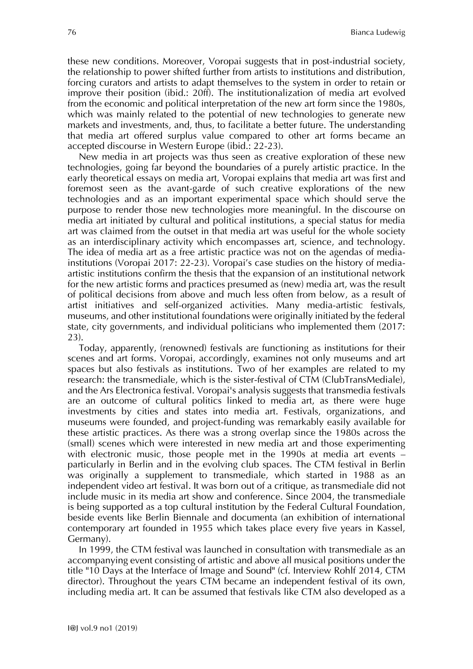these new conditions. Moreover, Voropai suggests that in post-industrial society, the relationship to power shifted further from artists to institutions and distribution, forcing curators and artists to adapt themselves to the system in order to retain or improve their position (ibid.: 20ff). The institutionalization of media art evolved from the economic and political interpretation of the new art form since the 1980s, which was mainly related to the potential of new technologies to generate new markets and investments, and, thus, to facilitate a better future. The understanding that media art offered surplus value compared to other art forms became an accepted discourse in Western Europe (ibid.: 22-23).

New media in art projects was thus seen as creative exploration of these new technologies, going far beyond the boundaries of a purely artistic practice. In the early theoretical essays on media art, Voropai explains that media art was first and foremost seen as the avant-garde of such creative explorations of the new technologies and as an important experimental space which should serve the purpose to render those new technologies more meaningful. In the discourse on media art initiated by cultural and political institutions, a special status for media art was claimed from the outset in that media art was useful for the whole society as an interdisciplinary activity which encompasses art, science, and technology. The idea of media art as a free artistic practice was not on the agendas of mediainstitutions (Voropai 2017: 22-23). Voropai's case studies on the history of mediaartistic institutions confirm the thesis that the expansion of an institutional network for the new artistic forms and practices presumed as (new) media art, was the result of political decisions from above and much less often from below, as a result of artist initiatives and self-organized activities. Many media-artistic festivals, museums, and other institutional foundations were originally initiated by the federal state, city governments, and individual politicians who implemented them (2017: 23).

Today, apparently, (renowned) festivals are functioning as institutions for their scenes and art forms. Voropai, accordingly, examines not only museums and art spaces but also festivals as institutions. Two of her examples are related to my research: the transmediale, which is the sister-festival of CTM (ClubTransMediale), and the Ars Electronica festival. Voropai's analysis suggests that transmedia festivals are an outcome of cultural politics linked to media art, as there were huge investments by cities and states into media art. Festivals, organizations, and museums were founded, and project-funding was remarkably easily available for these artistic practices. As there was a strong overlap since the 1980s across the (small) scenes which were interested in new media art and those experimenting with electronic music, those people met in the 1990s at media art events – particularly in Berlin and in the evolving club spaces. The CTM festival in Berlin was originally a supplement to transmediale, which started in 1988 as an independent video art festival. It was born out of a critique, as transmediale did not include music in its media art show and conference. Since 2004, the transmediale is being supported as a top cultural institution by the Federal Cultural Foundation, beside events like Berlin Biennale and documenta (an exhibition of international contemporary art founded in 1955 which takes place every five years in Kassel, Germany).

In 1999, the CTM festival was launched in consultation with transmediale as an accompanying event consisting of artistic and above all musical positions under the title "10 Days at the Interface of Image and Sound" (cf. Interview Rohlf 2014, CTM director). Throughout the years CTM became an independent festival of its own, including media art. It can be assumed that festivals like CTM also developed as a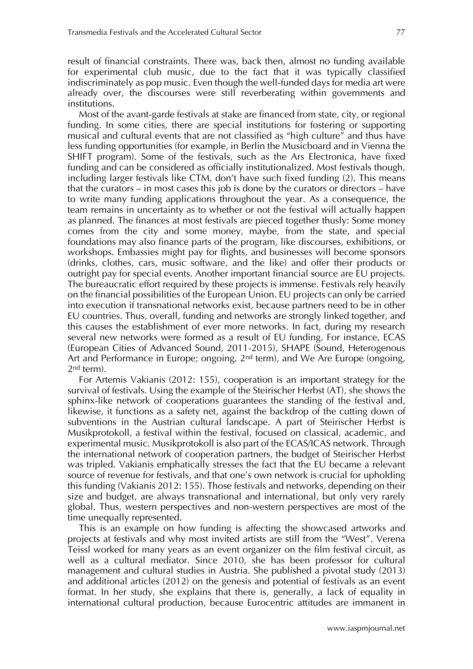result of financial constraints. There was, back then, almost no funding available for experimental club music, due to the fact that it was typically classified indiscriminately as pop music. Even though the well-funded days for media art were already over, the discourses were still reverberating within governments and institutions.

Most of the avant-garde festivals at stake are financed from state, city, or regional funding. In some cities, there are special institutions for fostering or supporting musical and cultural events that are not classified as "high culture" and thus have less funding opportunities (for example, in Berlin the Musicboard and in Vienna the SHIFT program). Some of the festivals, such as the Ars Electronica, have fixed funding and can be considered as officially institutionalized. Most festivals though, including larger festivals like CTM, don't have such fixed funding (2). This means that the curators – in most cases this job is done by the curators or directors – have to write many funding applications throughout the year. As a consequence, the team remains in uncertainty as to whether or not the festival will actually happen as planned. The finances at most festivals are pieced together thusly: Some money comes from the city and some money, maybe, from the state, and special foundations may also finance parts of the program, like discourses, exhibitions, or workshops. Embassies might pay for flights, and businesses will become sponsors (drinks, clothes, cars, music software, and the like) and offer their products or outright pay for special events. Another important financial source are EU projects. The bureaucratic effort required by these projects is immense. Festivals rely heavily on the financial possibilities of the European Union. EU projects can only be carried into execution if transnational networks exist, because partners need to be in other EU countries. Thus, overall, funding and networks are strongly linked together, and this causes the establishment of ever more networks. In fact, during my research several new networks were formed as a result of EU funding. For instance, ECAS (European Cities of Advanced Sound, 2011-2015), SHAPE (Sound, Heterogenous Art and Performance in Europe; ongoing, 2<sup>nd</sup> term), and We Are Europe (ongoing, 2nd term).

For Artemis Vakianis (2012: 155), cooperation is an important strategy for the survival of festivals. Using the example of the Steirischer Herbst (AT), she shows the sphinx-like network of cooperations guarantees the standing of the festival and, likewise, it functions as a safety net, against the backdrop of the cutting down of subventions in the Austrian cultural landscape. A part of Steirischer Herbst is Musikprotokoll, a festival within the festival, focused on classical, academic, and experimental music. Musikprotokoll is also part of the ECAS/ICAS network. Through the international network of cooperation partners, the budget of Steirischer Herbst was tripled. Vakianis emphatically stresses the fact that the EU became a relevant source of revenue for festivals, and that one's own network is crucial for upholding this funding (Vakianis 2012: 155). Those festivals and networks, depending on their size and budget, are always transnational and international, but only very rarely global. Thus, western perspectives and non-western perspectives are most of the time unequally represented.

This is an example on how funding is affecting the showcased artworks and projects at festivals and why most invited artists are still from the "West". Verena Teissl worked for many years as an event organizer on the film festival circuit, as well as a cultural mediator. Since 2010, she has been professor for cultural management and cultural studies in Austria. She published a pivotal study (2013) and additional articles (2012) on the genesis and potential of festivals as an event format. In her study, she explains that there is, generally, a lack of equality in international cultural production, because Eurocentric attitudes are immanent in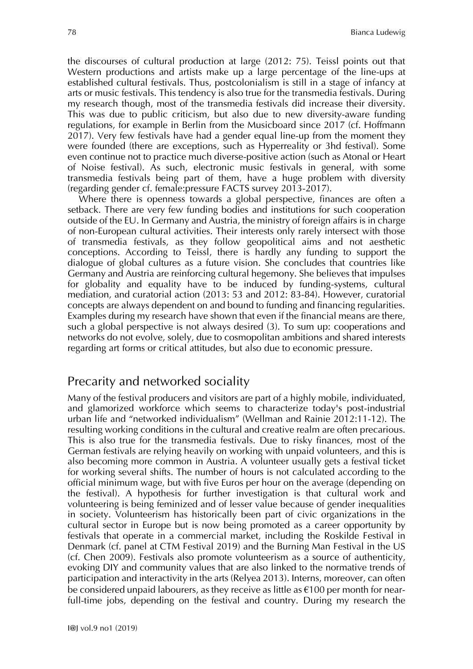the discourses of cultural production at large (2012: 75). Teissl points out that Western productions and artists make up a large percentage of the line-ups at established cultural festivals. Thus, postcolonialism is still in a stage of infancy at arts or music festivals. This tendency is also true for the transmedia festivals. During my research though, most of the transmedia festivals did increase their diversity. This was due to public criticism, but also due to new diversity-aware funding regulations, for example in Berlin from the Musicboard since 2017 (cf. Hoffmann 2017). Very few festivals have had a gender equal line-up from the moment they were founded (there are exceptions, such as Hyperreality or 3hd festival). Some even continue not to practice much diverse-positive action (such as Atonal or Heart of Noise festival). As such, electronic music festivals in general, with some transmedia festivals being part of them, have a huge problem with diversity (regarding gender cf. female:pressure FACTS survey 2013-2017).

Where there is openness towards a global perspective, finances are often a setback. There are very few funding bodies and institutions for such cooperation outside of the EU. In Germany and Austria, the ministry of foreign affairs is in charge of non-European cultural activities. Their interests only rarely intersect with those of transmedia festivals, as they follow geopolitical aims and not aesthetic conceptions. According to Teissl, there is hardly any funding to support the dialogue of global cultures as a future vision. She concludes that countries like Germany and Austria are reinforcing cultural hegemony. She believes that impulses for globality and equality have to be induced by funding-systems, cultural mediation, and curatorial action (2013: 53 and 2012: 83-84). However, curatorial concepts are always dependent on and bound to funding and financing regularities. Examples during my research have shown that even if the financial means are there, such a global perspective is not always desired (3). To sum up: cooperations and networks do not evolve, solely, due to cosmopolitan ambitions and shared interests regarding art forms or critical attitudes, but also due to economic pressure.

## Precarity and networked sociality

Many of the festival producers and visitors are part of a highly mobile, individuated, and glamorized workforce which seems to characterize today's post-industrial urban life and "networked individualism" (Wellman and Rainie 2012:11-12). The resulting working conditions in the cultural and creative realm are often precarious. This is also true for the transmedia festivals. Due to risky finances, most of the German festivals are relying heavily on working with unpaid volunteers, and this is also becoming more common in Austria. A volunteer usually gets a festival ticket for working several shifts. The number of hours is not calculated according to the official minimum wage, but with five Euros per hour on the average (depending on the festival). A hypothesis for further investigation is that cultural work and volunteering is being feminized and of lesser value because of gender inequalities in society. Volunteerism has historically been part of civic organizations in the cultural sector in Europe but is now being promoted as a career opportunity by festivals that operate in a commercial market, including the Roskilde Festival in Denmark (cf. panel at CTM Festival 2019) and the Burning Man Festival in the US (cf. Chen 2009). Festivals also promote volunteerism as a source of authenticity, evoking DIY and community values that are also linked to the normative trends of participation and interactivity in the arts (Relyea 2013). Interns, moreover, can often be considered unpaid labourers, as they receive as little as  $\epsilon$ 100 per month for nearfull-time jobs, depending on the festival and country. During my research the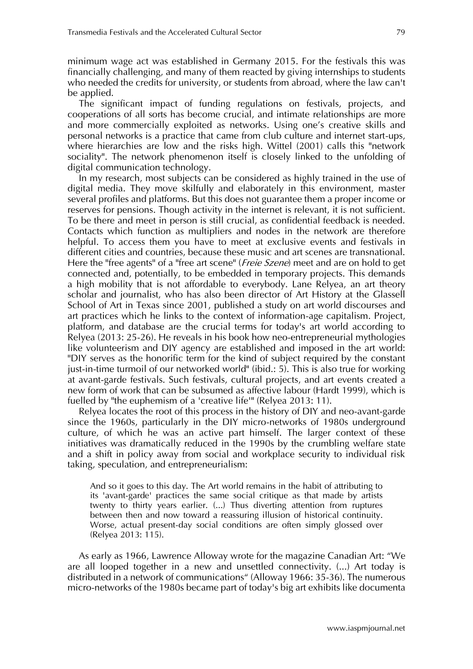minimum wage act was established in Germany 2015. For the festivals this was financially challenging, and many of them reacted by giving internships to students who needed the credits for university, or students from abroad, where the law can't be applied.

The significant impact of funding regulations on festivals, projects, and cooperations of all sorts has become crucial, and intimate relationships are more and more commercially exploited as networks. Using one's creative skills and personal networks is a practice that came from club culture and internet start-ups, where hierarchies are low and the risks high. Wittel (2001) calls this "network sociality". The network phenomenon itself is closely linked to the unfolding of digital communication technology.

In my research, most subjects can be considered as highly trained in the use of digital media. They move skilfully and elaborately in this environment, master several profiles and platforms. But this does not guarantee them a proper income or reserves for pensions. Though activity in the internet is relevant, it is not sufficient. To be there and meet in person is still crucial, as confidential feedback is needed. Contacts which function as multipliers and nodes in the network are therefore helpful. To access them you have to meet at exclusive events and festivals in different cities and countries, because these music and art scenes are transnational. Here the "free agents" of a "free art scene" (Freie Szene) meet and are on hold to get connected and, potentially, to be embedded in temporary projects. This demands a high mobility that is not affordable to everybody. Lane Relyea, an art theory scholar and journalist, who has also been director of Art History at the Glassell School of Art in Texas since 2001, published a study on art world discourses and art practices which he links to the context of information-age capitalism. Project, platform, and database are the crucial terms for today's art world according to Relyea (2013: 25-26). He reveals in his book how neo-entrepreneurial mythologies like volunteerism and DIY agency are established and imposed in the art world: "DIY serves as the honorific term for the kind of subject required by the constant just-in-time turmoil of our networked world" (ibid.: 5). This is also true for working at avant-garde festivals. Such festivals, cultural projects, and art events created a new form of work that can be subsumed as affective labour (Hardt 1999), which is fuelled by "the euphemism of a 'creative life'" (Relyea 2013: 11).

Relyea locates the root of this process in the history of DIY and neo-avant-garde since the 1960s, particularly in the DIY micro-networks of 1980s underground culture, of which he was an active part himself. The larger context of these initiatives was dramatically reduced in the 1990s by the crumbling welfare state and a shift in policy away from social and workplace security to individual risk taking, speculation, and entrepreneurialism:

And so it goes to this day. The Art world remains in the habit of attributing to its 'avant-garde' practices the same social critique as that made by artists twenty to thirty years earlier. (...) Thus diverting attention from ruptures between then and now toward a reassuring illusion of historical continuity. Worse, actual present-day social conditions are often simply glossed over (Relyea 2013: 115).

As early as 1966, Lawrence Alloway wrote for the magazine Canadian Art: "We are all looped together in a new and unsettled connectivity. (...) Art today is distributed in a network of communications" (Alloway 1966: 35-36). The numerous micro-networks of the 1980s became part of today's big art exhibits like documenta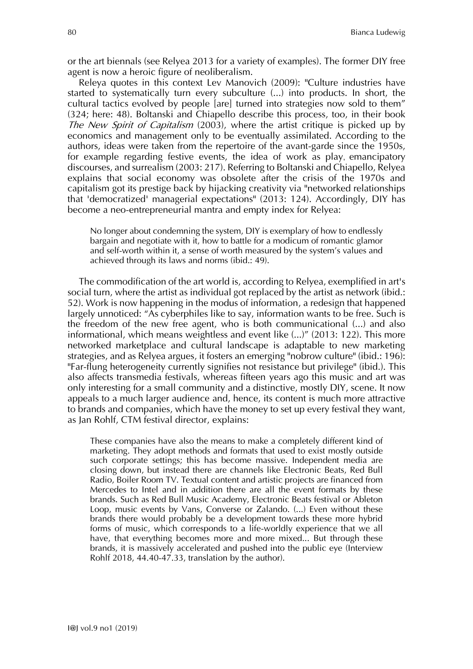or the art biennals (see Relyea 2013 for a variety of examples). The former DIY free agent is now a heroic figure of neoliberalism.

Releya quotes in this context Lev Manovich (2009): "Culture industries have started to systematically turn every subculture (...) into products. In short, the cultural tactics evolved by people [are] turned into strategies now sold to them" (324; here: 48). Boltanski and Chiapello describe this process, too, in their book The New Spirit of Capitalism (2003), where the artist critique is picked up by economics and management only to be eventually assimilated. According to the authors, ideas were taken from the repertoire of the avant-garde since the 1950s, for example regarding festive events, the idea of work as play, emancipatory discourses, and surrealism (2003: 217). Referring to Boltanski and Chiapello, Relyea explains that social economy was obsolete after the crisis of the 1970s and capitalism got its prestige back by hijacking creativity via "networked relationships that 'democratized' managerial expectations" (2013: 124). Accordingly, DIY has become a neo-entrepreneurial mantra and empty index for Relyea:

No longer about condemning the system, DIY is exemplary of how to endlessly bargain and negotiate with it, how to battle for a modicum of romantic glamor and self-worth within it, a sense of worth measured by the system's values and achieved through its laws and norms (ibid.: 49).

The commodification of the art world is, according to Relyea, exemplified in art's social turn, where the artist as individual got replaced by the artist as network (ibid.: 52). Work is now happening in the modus of information, a redesign that happened largely unnoticed: "As cyberphiles like to say, information wants to be free. Such is the freedom of the new free agent, who is both communicational (...) and also informational, which means weightless and event like (...)" (2013: 122). This more networked marketplace and cultural landscape is adaptable to new marketing strategies, and as Relyea argues, it fosters an emerging "nobrow culture" (ibid.: 196): "Far-flung heterogeneity currently signifies not resistance but privilege" (ibid.). This also affects transmedia festivals, whereas fifteen years ago this music and art was only interesting for a small community and a distinctive, mostly DIY, scene. It now appeals to a much larger audience and, hence, its content is much more attractive to brands and companies, which have the money to set up every festival they want, as Jan Rohlf, CTM festival director, explains:

These companies have also the means to make a completely different kind of marketing. They adopt methods and formats that used to exist mostly outside such corporate settings; this has become massive. Independent media are closing down, but instead there are channels like Electronic Beats, Red Bull Radio, Boiler Room TV. Textual content and artistic projects are financed from Mercedes to Intel and in addition there are all the event formats by these brands. Such as Red Bull Music Academy, Electronic Beats festival or Ableton Loop, music events by Vans, Converse or Zalando. (...) Even without these brands there would probably be a development towards these more hybrid forms of music, which corresponds to a life-worldly experience that we all have, that everything becomes more and more mixed... But through these brands, it is massively accelerated and pushed into the public eye (Interview Rohlf 2018, 44.40-47.33, translation by the author).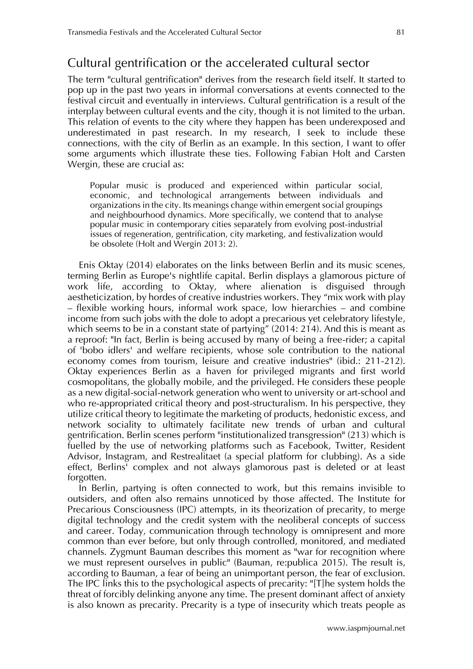# Cultural gentrification or the accelerated cultural sector

The term "cultural gentrification" derives from the research field itself. It started to pop up in the past two years in informal conversations at events connected to the festival circuit and eventually in interviews. Cultural gentrification is a result of the interplay between cultural events and the city, though it is not limited to the urban. This relation of events to the city where they happen has been underexposed and underestimated in past research. In my research, I seek to include these connections, with the city of Berlin as an example. In this section, I want to offer some arguments which illustrate these ties. Following Fabian Holt and Carsten Wergin, these are crucial as:

Popular music is produced and experienced within particular social, economic, and technological arrangements between individuals and organizations in the city. Its meanings change within emergent social groupings and neighbourhood dynamics. More specifically, we contend that to analyse popular music in contemporary cities separately from evolving post-industrial issues of regeneration, gentrification, city marketing, and festivalization would be obsolete (Holt and Wergin 2013: 2).

Enis Oktay (2014) elaborates on the links between Berlin and its music scenes, terming Berlin as Europe's nightlife capital. Berlin displays a glamorous picture of work life, according to Oktay, where alienation is disguised through aestheticization, by hordes of creative industries workers. They "mix work with play – flexible working hours, informal work space, low hierarchies – and combine income from such jobs with the dole to adopt a precarious yet celebratory lifestyle, which seems to be in a constant state of partying" (2014: 214). And this is meant as a reproof: "In fact, Berlin is being accused by many of being a free-rider; a capital of 'bobo idlers' and welfare recipients, whose sole contribution to the national economy comes from tourism, leisure and creative industries" (ibid.: 211-212). Oktay experiences Berlin as a haven for privileged migrants and first world cosmopolitans, the globally mobile, and the privileged. He considers these people as a new digital-social-network generation who went to university or art-school and who re-appropriated critical theory and post-structuralism. In his perspective, they utilize critical theory to legitimate the marketing of products, hedonistic excess, and network sociality to ultimately facilitate new trends of urban and cultural gentrification. Berlin scenes perform "institutionalized transgression" (213) which is fuelled by the use of networking platforms such as Facebook, Twitter, Resident Advisor, Instagram, and Restrealitaet (a special platform for clubbing). As a side effect, Berlins' complex and not always glamorous past is deleted or at least forgotten.

In Berlin, partying is often connected to work, but this remains invisible to outsiders, and often also remains unnoticed by those affected. The Institute for Precarious Consciousness (IPC) attempts, in its theorization of precarity, to merge digital technology and the credit system with the neoliberal concepts of success and career. Today, communication through technology is omnipresent and more common than ever before, but only through controlled, monitored, and mediated channels. Zygmunt Bauman describes this moment as "war for recognition where we must represent ourselves in public" (Bauman, re:publica 2015). The result is, according to Bauman, a fear of being an unimportant person, the fear of exclusion. The IPC links this to the psychological aspects of precarity: "[T]he system holds the threat of forcibly delinking anyone any time. The present dominant affect of anxiety is also known as precarity. Precarity is a type of insecurity which treats people as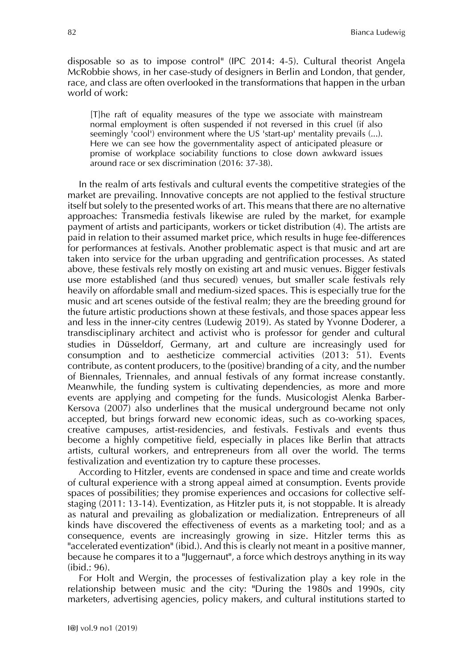disposable so as to impose control" (IPC 2014: 4-5). Cultural theorist Angela McRobbie shows, in her case-study of designers in Berlin and London, that gender, race, and class are often overlooked in the transformations that happen in the urban world of work:

[T]he raft of equality measures of the type we associate with mainstream normal employment is often suspended if not reversed in this cruel (if also seemingly 'cool') environment where the US 'start-up' mentality prevails (...). Here we can see how the governmentality aspect of anticipated pleasure or promise of workplace sociability functions to close down awkward issues around race or sex discrimination (2016: 37-38).

In the realm of arts festivals and cultural events the competitive strategies of the market are prevailing. Innovative concepts are not applied to the festival structure itself but solely to the presented works of art. This means that there are no alternative approaches: Transmedia festivals likewise are ruled by the market, for example payment of artists and participants, workers or ticket distribution (4). The artists are paid in relation to their assumed market price, which results in huge fee-differences for performances at festivals. Another problematic aspect is that music and art are taken into service for the urban upgrading and gentrification processes. As stated above, these festivals rely mostly on existing art and music venues. Bigger festivals use more established (and thus secured) venues, but smaller scale festivals rely heavily on affordable small and medium-sized spaces. This is especially true for the music and art scenes outside of the festival realm; they are the breeding ground for the future artistic productions shown at these festivals, and those spaces appear less and less in the inner-city centres (Ludewig 2019). As stated by Yvonne Doderer, a transdisciplinary architect and activist who is professor for gender and cultural studies in Düsseldorf, Germany, art and culture are increasingly used for consumption and to aestheticize commercial activities (2013: 51). Events contribute, as content producers, to the (positive) branding of a city, and the number of Biennales, Triennales, and annual festivals of any format increase constantly. Meanwhile, the funding system is cultivating dependencies, as more and more events are applying and competing for the funds. Musicologist Alenka Barber-Kersova (2007) also underlines that the musical underground became not only accepted, but brings forward new economic ideas, such as co-working spaces, creative campuses, artist-residencies, and festivals. Festivals and events thus become a highly competitive field, especially in places like Berlin that attracts artists, cultural workers, and entrepreneurs from all over the world. The terms festivalization and eventization try to capture these processes.

According to Hitzler, events are condensed in space and time and create worlds of cultural experience with a strong appeal aimed at consumption. Events provide spaces of possibilities; they promise experiences and occasions for collective selfstaging (2011: 13-14). Eventization, as Hitzler puts it, is not stoppable. It is already as natural and prevailing as globalization or medialization. Entrepreneurs of all kinds have discovered the effectiveness of events as a marketing tool; and as a consequence, events are increasingly growing in size. Hitzler terms this as "accelerated eventization" (ibid.). And this is clearly not meant in a positive manner, because he compares it to a "Juggernaut", a force which destroys anything in its way (ibid.: 96).

For Holt and Wergin, the processes of festivalization play a key role in the relationship between music and the city: "During the 1980s and 1990s, city marketers, advertising agencies, policy makers, and cultural institutions started to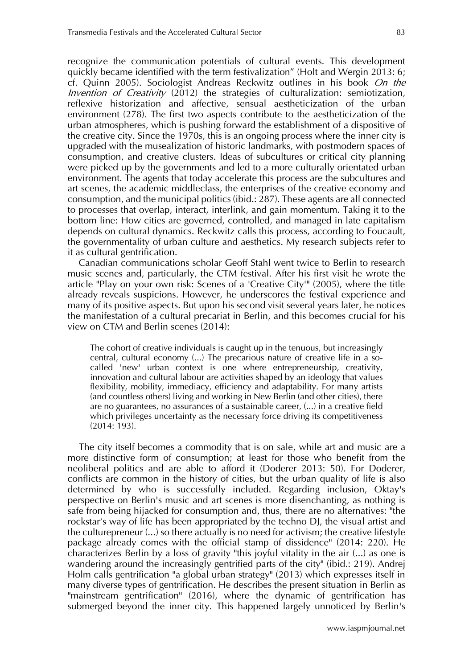recognize the communication potentials of cultural events. This development quickly became identified with the term festivalization" (Holt and Wergin 2013: 6; cf. Quinn 2005). Sociologist Andreas Reckwitz outlines in his book On the *Invention of Creativity* (2012) the strategies of culturalization: semiotization, reflexive historization and affective, sensual aestheticization of the urban environment (278). The first two aspects contribute to the aestheticization of the urban atmospheres, which is pushing forward the establishment of a dispositive of the creative city. Since the 1970s, this is an ongoing process where the inner city is upgraded with the musealization of historic landmarks, with postmodern spaces of consumption, and creative clusters. Ideas of subcultures or critical city planning were picked up by the governments and led to a more culturally orientated urban environment. The agents that today accelerate this process are the subcultures and art scenes, the academic middleclass, the enterprises of the creative economy and consumption, and the municipal politics (ibid.: 287). These agents are all connected to processes that overlap, interact, interlink, and gain momentum. Taking it to the bottom line: How cities are governed, controlled, and managed in late capitalism depends on cultural dynamics. Reckwitz calls this process, according to Foucault, the governmentality of urban culture and aesthetics. My research subjects refer to it as cultural gentrification.

Canadian communications scholar Geoff Stahl went twice to Berlin to research music scenes and, particularly, the CTM festival. After his first visit he wrote the article "Play on your own risk: Scenes of a 'Creative City'" (2005), where the title already reveals suspicions. However, he underscores the festival experience and many of its positive aspects. But upon his second visit several years later, he notices the manifestation of a cultural precariat in Berlin, and this becomes crucial for his view on CTM and Berlin scenes (2014):

The cohort of creative individuals is caught up in the tenuous, but increasingly central, cultural economy (...) The precarious nature of creative life in a socalled 'new' urban context is one where entrepreneurship, creativity, innovation and cultural labour are activities shaped by an ideology that values flexibility, mobility, immediacy, efficiency and adaptability. For many artists (and countless others) living and working in New Berlin (and other cities), there are no guarantees, no assurances of a sustainable career, (...) in a creative field which privileges uncertainty as the necessary force driving its competitiveness (2014: 193).

The city itself becomes a commodity that is on sale, while art and music are a more distinctive form of consumption; at least for those who benefit from the neoliberal politics and are able to afford it (Doderer 2013: 50). For Doderer, conflicts are common in the history of cities, but the urban quality of life is also determined by who is successfully included. Regarding inclusion, Oktay's perspective on Berlin's music and art scenes is more disenchanting, as nothing is safe from being hijacked for consumption and, thus, there are no alternatives: "the rockstar's way of life has been appropriated by the techno DJ, the visual artist and the culturepreneur (...) so there actually is no need for activism; the creative lifestyle package already comes with the official stamp of dissidence" (2014: 220). He characterizes Berlin by a loss of gravity "this joyful vitality in the air (...) as one is wandering around the increasingly gentrified parts of the city" (ibid.: 219). Andrej Holm calls gentrification "a global urban strategy" (2013) which expresses itself in many diverse types of gentrification. He describes the present situation in Berlin as "mainstream gentrification" (2016), where the dynamic of gentrification has submerged beyond the inner city. This happened largely unnoticed by Berlin's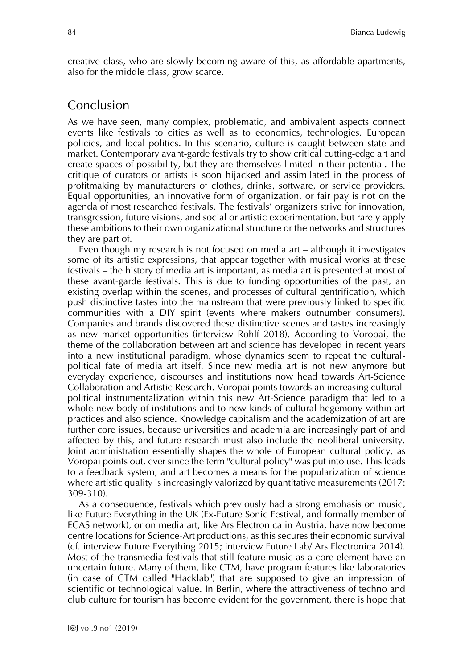creative class, who are slowly becoming aware of this, as affordable apartments, also for the middle class, grow scarce.

#### Conclusion

As we have seen, many complex, problematic, and ambivalent aspects connect events like festivals to cities as well as to economics, technologies, European policies, and local politics. In this scenario, culture is caught between state and market. Contemporary avant-garde festivals try to show critical cutting-edge art and create spaces of possibility, but they are themselves limited in their potential. The critique of curators or artists is soon hijacked and assimilated in the process of profitmaking by manufacturers of clothes, drinks, software, or service providers. Equal opportunities, an innovative form of organization, or fair pay is not on the agenda of most researched festivals. The festivals' organizers strive for innovation, transgression, future visions, and social or artistic experimentation, but rarely apply these ambitions to their own organizational structure or the networks and structures they are part of.

Even though my research is not focused on media art – although it investigates some of its artistic expressions, that appear together with musical works at these festivals – the history of media art is important, as media art is presented at most of these avant-garde festivals. This is due to funding opportunities of the past, an existing overlap within the scenes, and processes of cultural gentrification, which push distinctive tastes into the mainstream that were previously linked to specific communities with a DIY spirit (events where makers outnumber consumers). Companies and brands discovered these distinctive scenes and tastes increasingly as new market opportunities (interview Rohlf 2018). According to Voropai, the theme of the collaboration between art and science has developed in recent years into a new institutional paradigm, whose dynamics seem to repeat the culturalpolitical fate of media art itself. Since new media art is not new anymore but everyday experience, discourses and institutions now head towards Art-Science Collaboration and Artistic Research. Voropai points towards an increasing culturalpolitical instrumentalization within this new Art-Science paradigm that led to a whole new body of institutions and to new kinds of cultural hegemony within art practices and also science. Knowledge capitalism and the academization of art are further core issues, because universities and academia are increasingly part of and affected by this, and future research must also include the neoliberal university. Joint administration essentially shapes the whole of European cultural policy, as Voropai points out, ever since the term "cultural policy" was put into use. This leads to a feedback system, and art becomes a means for the popularization of science where artistic quality is increasingly valorized by quantitative measurements (2017: 309-310).

As a consequence, festivals which previously had a strong emphasis on music, like Future Everything in the UK (Ex-Future Sonic Festival, and formally member of ECAS network), or on media art, like Ars Electronica in Austria, have now become centre locations for Science-Art productions, as this secures their economic survival (cf. interview Future Everything 2015; interview Future Lab/ Ars Electronica 2014). Most of the transmedia festivals that still feature music as a core element have an uncertain future. Many of them, like CTM, have program features like laboratories (in case of CTM called "Hacklab") that are supposed to give an impression of scientific or technological value. In Berlin, where the attractiveness of techno and club culture for tourism has become evident for the government, there is hope that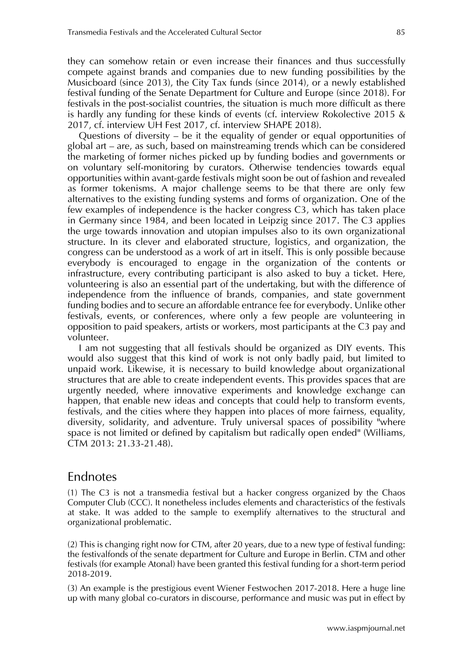they can somehow retain or even increase their finances and thus successfully compete against brands and companies due to new funding possibilities by the Musicboard (since 2013), the City Tax funds (since 2014), or a newly established festival funding of the Senate Department for Culture and Europe (since 2018). For festivals in the post-socialist countries, the situation is much more difficult as there is hardly any funding for these kinds of events (cf. interview Rokolective 2015 & 2017, cf. interview UH Fest 2017, cf. interview SHAPE 2018).

Questions of diversity – be it the equality of gender or equal opportunities of global art – are, as such, based on mainstreaming trends which can be considered the marketing of former niches picked up by funding bodies and governments or on voluntary self-monitoring by curators. Otherwise tendencies towards equal opportunities within avant-garde festivals might soon be out of fashion and revealed as former tokenisms. A major challenge seems to be that there are only few alternatives to the existing funding systems and forms of organization. One of the few examples of independence is the hacker congress C3, which has taken place in Germany since 1984, and been located in Leipzig since 2017. The C3 applies the urge towards innovation and utopian impulses also to its own organizational structure. In its clever and elaborated structure, logistics, and organization, the congress can be understood as a work of art in itself. This is only possible because everybody is encouraged to engage in the organization of the contents or infrastructure, every contributing participant is also asked to buy a ticket. Here, volunteering is also an essential part of the undertaking, but with the difference of independence from the influence of brands, companies, and state government funding bodies and to secure an affordable entrance fee for everybody. Unlike other festivals, events, or conferences, where only a few people are volunteering in opposition to paid speakers, artists or workers, most participants at the C3 pay and volunteer.

I am not suggesting that all festivals should be organized as DIY events. This would also suggest that this kind of work is not only badly paid, but limited to unpaid work. Likewise, it is necessary to build knowledge about organizational structures that are able to create independent events. This provides spaces that are urgently needed, where innovative experiments and knowledge exchange can happen, that enable new ideas and concepts that could help to transform events, festivals, and the cities where they happen into places of more fairness, equality, diversity, solidarity, and adventure. Truly universal spaces of possibility "where space is not limited or defined by capitalism but radically open ended" (Williams, CTM 2013: 21.33-21.48).

## Endnotes

(1) The C3 is not a transmedia festival but a hacker congress organized by the Chaos Computer Club (CCC). It nonetheless includes elements and characteristics of the festivals at stake. It was added to the sample to exemplify alternatives to the structural and organizational problematic.

(2) This is changing right now for CTM, after 20 years, due to a new type of festival funding: the festivalfonds of the senate department for Culture and Europe in Berlin. CTM and other festivals (for example Atonal) have been granted this festival funding for a short-term period 2018-2019.

(3) An example is the prestigious event Wiener Festwochen 2017-2018. Here a huge line up with many global co-curators in discourse, performance and music was put in effect by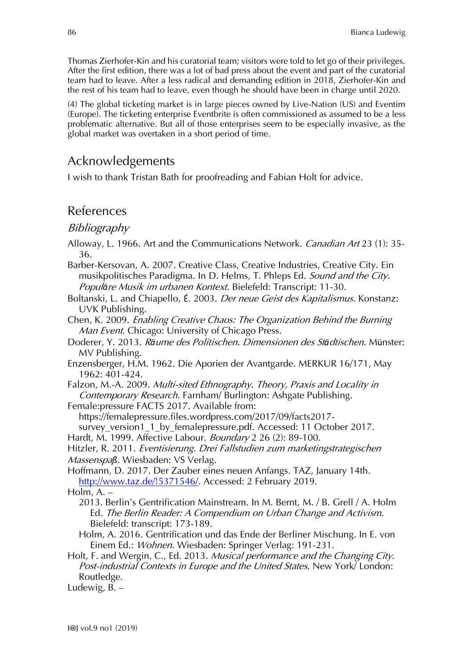Thomas Zierhofer-Kin and his curatorial team; visitors were told to let go of their privileges. After the first edition, there was a lot of bad press about the event and part of the curatorial team had to leave. After a less radical and demanding edition in 2018, Zierhofer-Kin and the rest of his team had to leave, even though he should have been in charge until 2020.

(4) The global ticketing market is in large pieces owned by Live-Nation (US) and Eventim (Europe). The ticketing enterprise Eventbrite is often commissioned as assumed to be a less problematic alternative. But all of those enterprises seem to be especially invasive, as the global market was overtaken in a short period of time.

# Acknowledgements

I wish to thank Tristan Bath for proofreading and Fabian Holt for advice.

## References

#### Bibliography

- Alloway, L. 1966. Art and the Communications Network. Canadian Art 23 (1): 35-36.
- Barber-Kersovan, A. 2007. Creative Class, Creative Industries, Creative City. Ein musikpolitisches Paradigma. In D. Helms, T. Phleps Ed. Sound and the City. Popul*ä*re Musik im urbanen Kontext. Bielefeld: Transcript: 11-30.
- Boltanski, L. and Chiapello, É. 2003. Der neue Geist des Kapitalismus. Konstanz: UVK Publishing.
- Chen, K. 2009. Enabling Creative Chaos: The Organization Behind the Burning Man Event. Chicago: University of Chicago Press.
- Doderer, Y. 2013. <sup>R</sup>*ä*ume des Politischen. Dimensionen des St*ä*dtischen. Münster: MV Publishing.
- Enzensberger, H.M. 1962. Die Aporien der Avantgarde. MERKUR 16/171, May 1962: 401-424.
- Falzon, M.-A. 2009. Multi-sited Ethnography. Theory, Praxis and Locality in Contemporary Research. Farnham/ Burlington: Ashgate Publishing.
- Female:pressure FACTS 2017. Available from:

[https://femalepressure.files.wordpress.com/2017/09/facts2017](https://femalepressure.files.wordpress.com/2017/09/facts2017-survey_version1_1_by_femalepressure.pdf) survey version1 1 by femalepressure.pdf. Accessed: 11 October 2017.

- Hardt, M. 1999. Affective Labour. Boundary 2 26 (2): 89-100.
- Hitzler, R. 2011. Eventisierung. Drei Fallstudien zum marketingstrategischen Massenspa*ß*. Wiesbaden: VS Verlag.
- Hoffmann, D. 2017. Der Zauber eines neuen Anfangs. TAZ, January 14th. [http://www.taz.de/!5371546/.](http://www.taz.de/!5371546/) Accessed: 2 February 2019.

Holm, A. –

- 2013. Berlin's Gentrification Mainstream. In M. Bernt, M. / B. Grell / A. Holm Ed. The Berlin Reader: A Compendium on Urban Change and Activism. Bielefeld: transcript: 173-189.
- Holm, A. 2016. Gentrification und das Ende der Berliner Mischung. In E. von Einem Ed.: Wohnen. Wiesbaden: Springer Verlag: 191-231.
- Holt, F. and Wergin, C., Ed. 2013. Musical performance and the Changing City. Post-industrial Contexts in Europe and the United States. New York/ London: Routledge.

Ludewig, B. –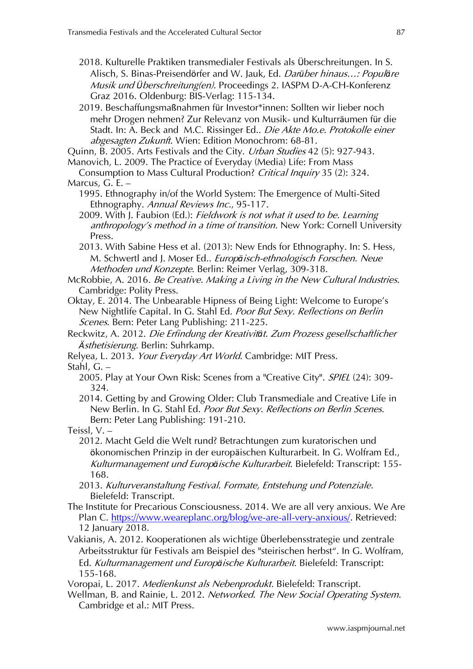2018. Kulturelle Praktiken transmedialer Festivals als Überschreitungen. In S. Alisch, S. Binas-Preisendörfer and W. Jauk, Ed. Dar*ü*ber hinaus…: Popul*ä*re Musik und *Ü*berschreitung(en). Proceedings 2. IASPM D-A-CH-Konferenz Graz 2016. Oldenburg: BIS-Verlag: 115-134.

2019. Beschaffungsmaßnahmen für Investor\*innen: Sollten wir lieber noch mehr Drogen nehmen? Zur Relevanz von Musik- und Kulturräumen für die Stadt. In: A. Beck and M.C. Rissinger Ed.. Die Akte Mo.e. Protokolle einer abgesagten Zukunft. Wien: Edition Monochrom: 68-81.

Quinn, B. 2005. Arts Festivals and the City. Urban Studies 42 (5): 927-943.

Manovich, L. 2009. The Practice of Everyday (Media) Life: From Mass

Consumption to Mass Cultural Production? Critical Inquiry 35 (2): 324. Marcus, G. E. –

1995. Ethnography in/of the World System: The Emergence of Multi-Sited Ethnography. Annual Reviews Inc., 95-117.

2009. With J. Faubion (Ed.): Fieldwork is not what it used to be. Learning anthropology's method in a time of transition. New York: Cornell University Press.

2013. With Sabine Hess et al. (2013): New Ends for Ethnography. In: S. Hess, M. Schwertl and J. Moser Ed.. Europ*ä*isch-ethnologisch Forschen. Neue Methoden und Konzepte. Berlin: Reimer Verlag, 309-318.

McRobbie, A. 2016. Be Creative. Making a Living in the New Cultural Industries. Cambridge: Polity Press.

Oktay, E. 2014. The Unbearable Hipness of Being Light: Welcome to Europe's New Nightlife Capital. In G. Stahl Ed. Poor But Sexy. Reflections on Berlin Scenes. Bern: Peter Lang Publishing: 211-225.

Reckwitz, A. 2012. Die Erfindung der Kreativit*ä*t. Zum Prozess gesellschaftlicher *Ä*sthetisierung. Berlin: Suhrkamp.

Relyea, L. 2013. Your Everyday Art World. Cambridge: MIT Press.

Stahl, G. –

2005. Play at Your Own Risk: Scenes from a "Creative City". *SPIEL* (24): 309-324.

2014. Getting by and Growing Older: Club Transmediale and Creative Life in New Berlin. In G. Stahl Ed. Poor But Sexy. Reflections on Berlin Scenes. Bern: Peter Lang Publishing: 191-210.

Teissl, V. –

2012. Macht Geld die Welt rund? Betrachtungen zum kuratorischen und ökonomischen Prinzip in der europäischen Kulturarbeit. In G. Wolfram Ed., Kulturmanagement und Europ*ä*ische Kulturarbeit. Bielefeld: Transcript: 155- 168.

- 2013. Kulturveranstaltung Festival. Formate, Entstehung und Potenziale. Bielefeld: Transcript.
- The Institute for Precarious Consciousness. 2014. We are all very anxious. We Are Plan C. [https://www.weareplanc.org/blog/we-are-all-very-anxious/.](https://www.weareplanc.org/blog/we-are-all-very-anxious/) Retrieved: 12 January 2018.
- Vakianis, A. 2012. Kooperationen als wichtige Überlebensstrategie und zentrale Arbeitsstruktur für Festivals am Beispiel des "steirischen herbst". In G. Wolfram, Ed. Kulturmanagement und Europ*ä*ische Kulturarbeit. Bielefeld: Transcript: 155-168.

Voropai, L. 2017. Medienkunst als Nebenprodukt. Bielefeld: Transcript.

Wellman, B. and Rainie, L. 2012. Networked. The New Social Operating System. Cambridge et al.: MIT Press.